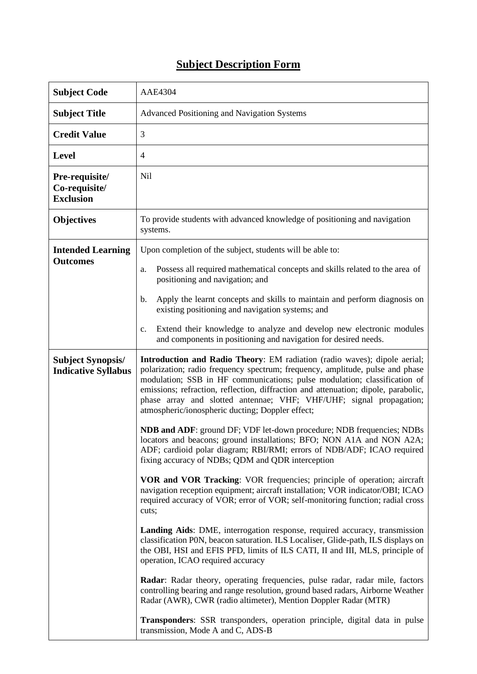## **Subject Description Form**

| <b>Subject Code</b>                                    | <b>AAE4304</b>                                                                                                                                                                                                                                                                                                                                                                                                                                           |  |  |
|--------------------------------------------------------|----------------------------------------------------------------------------------------------------------------------------------------------------------------------------------------------------------------------------------------------------------------------------------------------------------------------------------------------------------------------------------------------------------------------------------------------------------|--|--|
| <b>Subject Title</b>                                   | Advanced Positioning and Navigation Systems                                                                                                                                                                                                                                                                                                                                                                                                              |  |  |
| <b>Credit Value</b>                                    | 3                                                                                                                                                                                                                                                                                                                                                                                                                                                        |  |  |
| <b>Level</b>                                           | $\overline{4}$                                                                                                                                                                                                                                                                                                                                                                                                                                           |  |  |
| Pre-requisite/<br>Co-requisite/<br><b>Exclusion</b>    | Nil                                                                                                                                                                                                                                                                                                                                                                                                                                                      |  |  |
| <b>Objectives</b>                                      | To provide students with advanced knowledge of positioning and navigation<br>systems.                                                                                                                                                                                                                                                                                                                                                                    |  |  |
| <b>Intended Learning</b><br><b>Outcomes</b>            | Upon completion of the subject, students will be able to:                                                                                                                                                                                                                                                                                                                                                                                                |  |  |
|                                                        | Possess all required mathematical concepts and skills related to the area of<br>a.<br>positioning and navigation; and                                                                                                                                                                                                                                                                                                                                    |  |  |
|                                                        | Apply the learnt concepts and skills to maintain and perform diagnosis on<br>b.<br>existing positioning and navigation systems; and                                                                                                                                                                                                                                                                                                                      |  |  |
|                                                        | Extend their knowledge to analyze and develop new electronic modules<br>$\mathbf{c}$ .<br>and components in positioning and navigation for desired needs.                                                                                                                                                                                                                                                                                                |  |  |
| <b>Subject Synopsis/</b><br><b>Indicative Syllabus</b> | Introduction and Radio Theory: EM radiation (radio waves); dipole aerial;<br>polarization; radio frequency spectrum; frequency, amplitude, pulse and phase<br>modulation; SSB in HF communications; pulse modulation; classification of<br>emissions; refraction, reflection, diffraction and attenuation; dipole, parabolic,<br>phase array and slotted antennae; VHF; VHF/UHF; signal propagation;<br>atmospheric/ionospheric ducting; Doppler effect; |  |  |
|                                                        | NDB and ADF: ground DF; VDF let-down procedure; NDB frequencies; NDBs<br>locators and beacons; ground installations; BFO; NON A1A and NON A2A;<br>ADF; cardioid polar diagram; RBI/RMI; errors of NDB/ADF; ICAO required<br>fixing accuracy of NDBs; QDM and QDR interception                                                                                                                                                                            |  |  |
|                                                        | VOR and VOR Tracking: VOR frequencies; principle of operation; aircraft<br>navigation reception equipment; aircraft installation; VOR indicator/OBI; ICAO<br>required accuracy of VOR; error of VOR; self-monitoring function; radial cross<br>cuts;                                                                                                                                                                                                     |  |  |
|                                                        | Landing Aids: DME, interrogation response, required accuracy, transmission<br>classification P0N, beacon saturation. ILS Localiser, Glide-path, ILS displays on<br>the OBI, HSI and EFIS PFD, limits of ILS CATI, II and III, MLS, principle of<br>operation, ICAO required accuracy                                                                                                                                                                     |  |  |
|                                                        | Radar: Radar theory, operating frequencies, pulse radar, radar mile, factors<br>controlling bearing and range resolution, ground based radars, Airborne Weather<br>Radar (AWR), CWR (radio altimeter), Mention Doppler Radar (MTR)                                                                                                                                                                                                                       |  |  |
|                                                        | <b>Transponders:</b> SSR transponders, operation principle, digital data in pulse<br>transmission, Mode A and C, ADS-B                                                                                                                                                                                                                                                                                                                                   |  |  |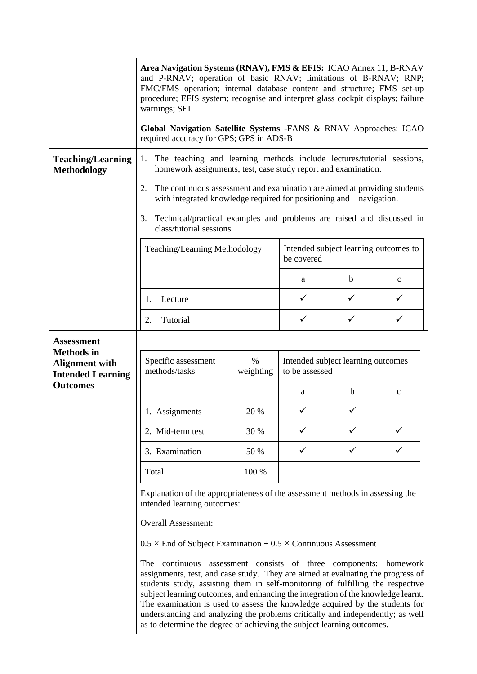|                                                                                             | Area Navigation Systems (RNAV), FMS & EFIS: ICAO Annex 11; B-RNAV<br>and P-RNAV; operation of basic RNAV; limitations of B-RNAV; RNP;<br>FMC/FMS operation; internal database content and structure; FMS set-up<br>procedure; EFIS system; recognise and interpret glass cockpit displays; failure<br>warnings; SEI                                                                                                                                                                                                                                                       |                   |                                                      |   |              |  |
|---------------------------------------------------------------------------------------------|---------------------------------------------------------------------------------------------------------------------------------------------------------------------------------------------------------------------------------------------------------------------------------------------------------------------------------------------------------------------------------------------------------------------------------------------------------------------------------------------------------------------------------------------------------------------------|-------------------|------------------------------------------------------|---|--------------|--|
|                                                                                             | Global Navigation Satellite Systems -FANS & RNAV Approaches: ICAO<br>required accuracy for GPS; GPS in ADS-B                                                                                                                                                                                                                                                                                                                                                                                                                                                              |                   |                                                      |   |              |  |
| <b>Teaching/Learning</b><br><b>Methodology</b>                                              | The teaching and learning methods include lectures/tutorial sessions,<br>1.<br>homework assignments, test, case study report and examination.                                                                                                                                                                                                                                                                                                                                                                                                                             |                   |                                                      |   |              |  |
|                                                                                             | 2.<br>The continuous assessment and examination are aimed at providing students<br>with integrated knowledge required for positioning and navigation.                                                                                                                                                                                                                                                                                                                                                                                                                     |                   |                                                      |   |              |  |
|                                                                                             | Technical/practical examples and problems are raised and discussed in<br>3.<br>class/tutorial sessions.                                                                                                                                                                                                                                                                                                                                                                                                                                                                   |                   |                                                      |   |              |  |
|                                                                                             | Intended subject learning outcomes to<br>Teaching/Learning Methodology<br>be covered                                                                                                                                                                                                                                                                                                                                                                                                                                                                                      |                   |                                                      |   |              |  |
|                                                                                             |                                                                                                                                                                                                                                                                                                                                                                                                                                                                                                                                                                           |                   | a                                                    | b | $\mathbf{C}$ |  |
|                                                                                             | Lecture<br>1.                                                                                                                                                                                                                                                                                                                                                                                                                                                                                                                                                             |                   | ✓                                                    |   | ✓            |  |
|                                                                                             | Tutorial<br>2.                                                                                                                                                                                                                                                                                                                                                                                                                                                                                                                                                            |                   | ✓                                                    |   |              |  |
| <b>Assessment</b><br><b>Methods</b> in<br><b>Alignment with</b><br><b>Intended Learning</b> | Specific assessment<br>methods/tasks                                                                                                                                                                                                                                                                                                                                                                                                                                                                                                                                      | $\%$<br>weighting | Intended subject learning outcomes<br>to be assessed |   |              |  |
| <b>Outcomes</b>                                                                             |                                                                                                                                                                                                                                                                                                                                                                                                                                                                                                                                                                           |                   | a                                                    | b | $\mathbf c$  |  |
|                                                                                             | 1. Assignments                                                                                                                                                                                                                                                                                                                                                                                                                                                                                                                                                            | 20 %              | ✓                                                    | ✓ |              |  |
|                                                                                             | 2. Mid-term test                                                                                                                                                                                                                                                                                                                                                                                                                                                                                                                                                          | 30 %              |                                                      |   |              |  |
|                                                                                             | 3. Examination                                                                                                                                                                                                                                                                                                                                                                                                                                                                                                                                                            | 50 %              | ✓                                                    |   |              |  |
|                                                                                             | Total                                                                                                                                                                                                                                                                                                                                                                                                                                                                                                                                                                     | 100 %             |                                                      |   |              |  |
|                                                                                             | Explanation of the appropriateness of the assessment methods in assessing the<br>intended learning outcomes:                                                                                                                                                                                                                                                                                                                                                                                                                                                              |                   |                                                      |   |              |  |
|                                                                                             | <b>Overall Assessment:</b>                                                                                                                                                                                                                                                                                                                                                                                                                                                                                                                                                |                   |                                                      |   |              |  |
|                                                                                             | $0.5 \times$ End of Subject Examination + 0.5 $\times$ Continuous Assessment                                                                                                                                                                                                                                                                                                                                                                                                                                                                                              |                   |                                                      |   |              |  |
|                                                                                             | continuous assessment consists of three components: homework<br>The<br>assignments, test, and case study. They are aimed at evaluating the progress of<br>students study, assisting them in self-monitoring of fulfilling the respective<br>subject learning outcomes, and enhancing the integration of the knowledge learnt.<br>The examination is used to assess the knowledge acquired by the students for<br>understanding and analyzing the problems critically and independently; as well<br>as to determine the degree of achieving the subject learning outcomes. |                   |                                                      |   |              |  |